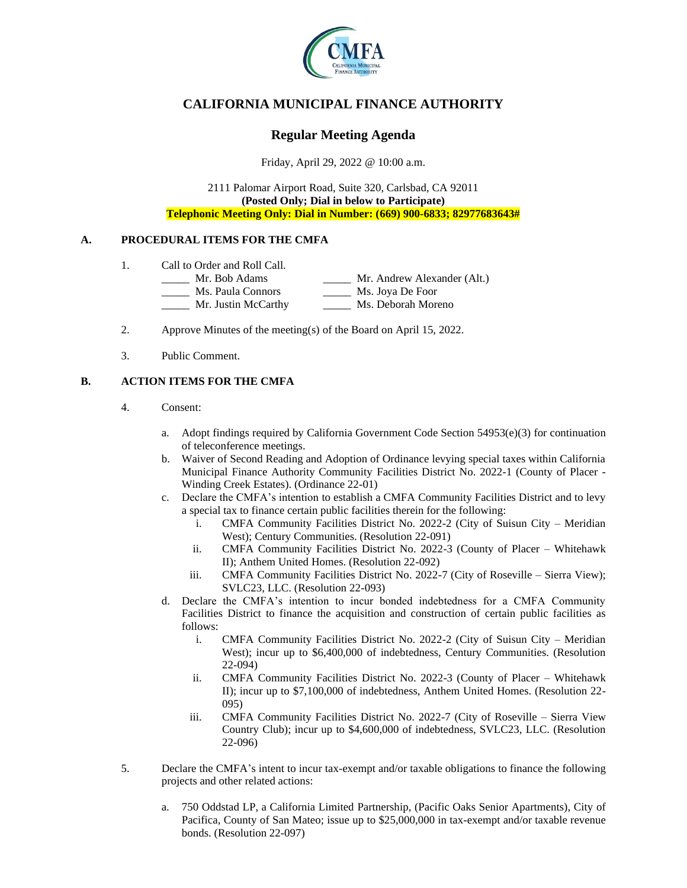

# **CALIFORNIA MUNICIPAL FINANCE AUTHORITY**

## **Regular Meeting Agenda**

Friday, April 29, 2022 @ 10:00 a.m.

2111 Palomar Airport Road, Suite 320, Carlsbad, CA 92011 **(Posted Only; Dial in below to Participate) Telephonic Meeting Only: Dial in Number: (669) 900-6833; 82977683643#**

### **A. PROCEDURAL ITEMS FOR THE CMFA**

- 1. Call to Order and Roll Call.
	- \_\_\_\_\_ Mr. Bob Adams \_\_\_\_\_ Mr. Andrew Alexander (Alt.)
		- \_\_\_\_\_ Ms. Paula Connors \_\_\_\_\_ Ms. Joya De Foor
		- Mr. Justin McCarthy Ms. Deborah Moreno
- 2. Approve Minutes of the meeting(s) of the Board on April 15, 2022.
- 3. Public Comment.

### **B. ACTION ITEMS FOR THE CMFA**

- 4. Consent:
	- a. Adopt findings required by California Government Code Section  $54953(e)(3)$  for continuation of teleconference meetings.
	- b. Waiver of Second Reading and Adoption of Ordinance levying special taxes within California Municipal Finance Authority Community Facilities District No. 2022-1 (County of Placer - Winding Creek Estates). (Ordinance 22-01)
	- c. Declare the CMFA's intention to establish a CMFA Community Facilities District and to levy a special tax to finance certain public facilities therein for the following:
		- i. CMFA Community Facilities District No. 2022-2 (City of Suisun City Meridian West); Century Communities. (Resolution 22-091)
		- ii. CMFA Community Facilities District No. 2022-3 (County of Placer Whitehawk II); Anthem United Homes. (Resolution 22-092)
		- iii. CMFA Community Facilities District No. 2022-7 (City of Roseville Sierra View); SVLC23, LLC. (Resolution 22-093)
	- d. Declare the CMFA's intention to incur bonded indebtedness for a CMFA Community Facilities District to finance the acquisition and construction of certain public facilities as follows:
		- i. CMFA Community Facilities District No. 2022-2 (City of Suisun City Meridian West); incur up to \$6,400,000 of indebtedness, Century Communities. (Resolution 22-094)
		- ii. CMFA Community Facilities District No. 2022-3 (County of Placer Whitehawk II); incur up to \$7,100,000 of indebtedness, Anthem United Homes. (Resolution 22- 095)
		- iii. CMFA Community Facilities District No. 2022-7 (City of Roseville Sierra View Country Club); incur up to \$4,600,000 of indebtedness, SVLC23, LLC. (Resolution 22-096)
- 5. Declare the CMFA's intent to incur tax-exempt and/or taxable obligations to finance the following projects and other related actions:
	- a. 750 Oddstad LP, a California Limited Partnership, (Pacific Oaks Senior Apartments), City of Pacifica, County of San Mateo; issue up to \$25,000,000 in tax-exempt and/or taxable revenue bonds. (Resolution 22-097)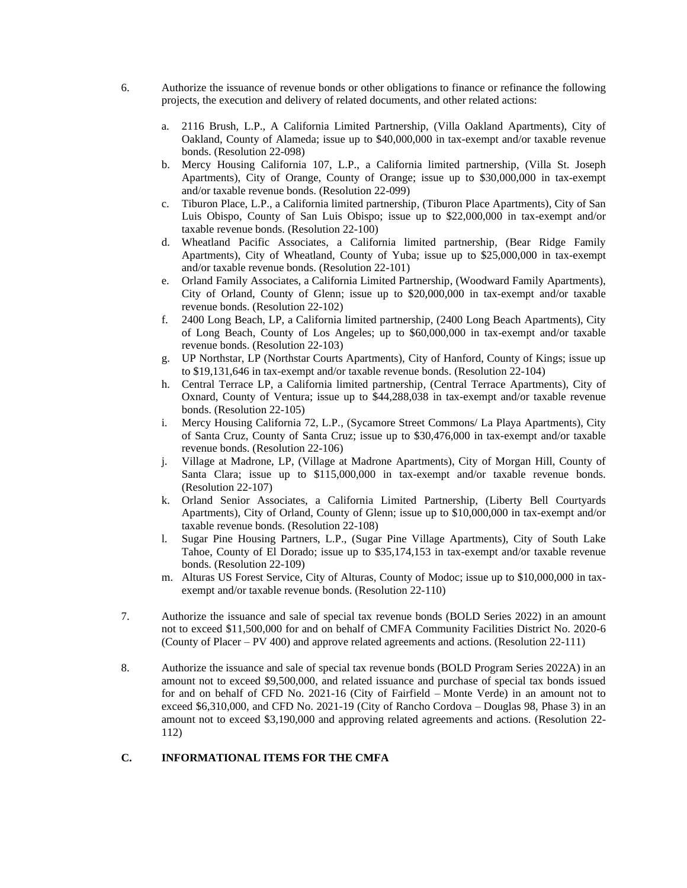- 6. Authorize the issuance of revenue bonds or other obligations to finance or refinance the following projects, the execution and delivery of related documents, and other related actions:
	- a. 2116 Brush, L.P., A California Limited Partnership, (Villa Oakland Apartments), City of Oakland, County of Alameda; issue up to \$40,000,000 in tax-exempt and/or taxable revenue bonds. (Resolution 22-098)
	- b. Mercy Housing California 107, L.P., a California limited partnership, (Villa St. Joseph Apartments), City of Orange, County of Orange; issue up to \$30,000,000 in tax-exempt and/or taxable revenue bonds. (Resolution 22-099)
	- c. Tiburon Place, L.P., a California limited partnership, (Tiburon Place Apartments), City of San Luis Obispo, County of San Luis Obispo; issue up to \$22,000,000 in tax-exempt and/or taxable revenue bonds. (Resolution 22-100)
	- d. Wheatland Pacific Associates, a California limited partnership, (Bear Ridge Family Apartments), City of Wheatland, County of Yuba; issue up to \$25,000,000 in tax-exempt and/or taxable revenue bonds. (Resolution 22-101)
	- e. Orland Family Associates, a California Limited Partnership, (Woodward Family Apartments), City of Orland, County of Glenn; issue up to \$20,000,000 in tax-exempt and/or taxable revenue bonds. (Resolution 22-102)
	- f. 2400 Long Beach, LP, a California limited partnership, (2400 Long Beach Apartments), City of Long Beach, County of Los Angeles; up to \$60,000,000 in tax-exempt and/or taxable revenue bonds. (Resolution 22-103)
	- g. UP Northstar, LP (Northstar Courts Apartments), City of Hanford, County of Kings; issue up to \$19,131,646 in tax-exempt and/or taxable revenue bonds. (Resolution 22-104)
	- h. Central Terrace LP, a California limited partnership, (Central Terrace Apartments), City of Oxnard, County of Ventura; issue up to \$44,288,038 in tax-exempt and/or taxable revenue bonds. (Resolution 22-105)
	- i. Mercy Housing California 72, L.P., (Sycamore Street Commons/ La Playa Apartments), City of Santa Cruz, County of Santa Cruz; issue up to \$30,476,000 in tax-exempt and/or taxable revenue bonds. (Resolution 22-106)
	- j. Village at Madrone, LP, (Village at Madrone Apartments), City of Morgan Hill, County of Santa Clara; issue up to \$115,000,000 in tax-exempt and/or taxable revenue bonds. (Resolution 22-107)
	- k. Orland Senior Associates, a California Limited Partnership, (Liberty Bell Courtyards Apartments), City of Orland, County of Glenn; issue up to \$10,000,000 in tax-exempt and/or taxable revenue bonds. (Resolution 22-108)
	- l. Sugar Pine Housing Partners, L.P., (Sugar Pine Village Apartments), City of South Lake Tahoe, County of El Dorado; issue up to \$35,174,153 in tax-exempt and/or taxable revenue bonds. (Resolution 22-109)
	- m. Alturas US Forest Service, City of Alturas, County of Modoc; issue up to \$10,000,000 in taxexempt and/or taxable revenue bonds. (Resolution 22-110)
- 7. Authorize the issuance and sale of special tax revenue bonds (BOLD Series 2022) in an amount not to exceed \$11,500,000 for and on behalf of CMFA Community Facilities District No. 2020-6 (County of Placer – PV 400) and approve related agreements and actions. (Resolution 22-111)
- 8. Authorize the issuance and sale of special tax revenue bonds (BOLD Program Series 2022A) in an amount not to exceed \$9,500,000, and related issuance and purchase of special tax bonds issued for and on behalf of CFD No. 2021-16 (City of Fairfield – Monte Verde) in an amount not to exceed \$6,310,000, and CFD No. 2021-19 (City of Rancho Cordova – Douglas 98, Phase 3) in an amount not to exceed \$3,190,000 and approving related agreements and actions. (Resolution 22- 112)

### **C. INFORMATIONAL ITEMS FOR THE CMFA**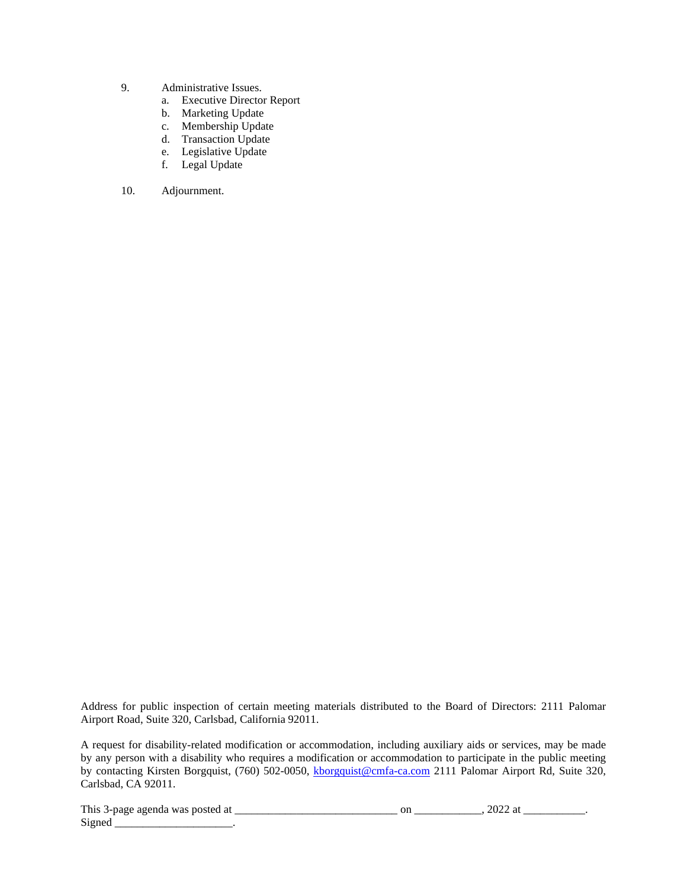- 9. Administrative Issues.
	- a. Executive Director Report
	- b. Marketing Update
	- c. Membership Update
	- d. Transaction Update
	- e. Legislative Update
	- f. Legal Update
- 10. Adjournment.

Address for public inspection of certain meeting materials distributed to the Board of Directors: 2111 Palomar Airport Road, Suite 320, Carlsbad, California 92011.

A request for disability-related modification or accommodation, including auxiliary aids or services, may be made by any person with a disability who requires a modification or accommodation to participate in the public meeting by contacting Kirsten Borgquist, (760) 502-0050, [kborgquist@cmfa-ca.com](mailto:kborgquist@cmfa-ca.com) 2111 Palomar Airport Rd, Suite 320, Carlsbad, CA 92011.

This 3-page agenda was posted at \_\_\_\_\_\_\_\_\_\_\_\_\_\_\_\_\_\_\_\_\_\_\_\_\_\_\_\_\_ on \_\_\_\_\_\_\_\_\_\_\_\_, 2022 at \_\_\_\_\_\_\_\_\_\_\_. Signed \_\_\_\_\_\_\_\_\_\_\_\_\_\_\_\_\_\_\_\_\_\_\_\_\_.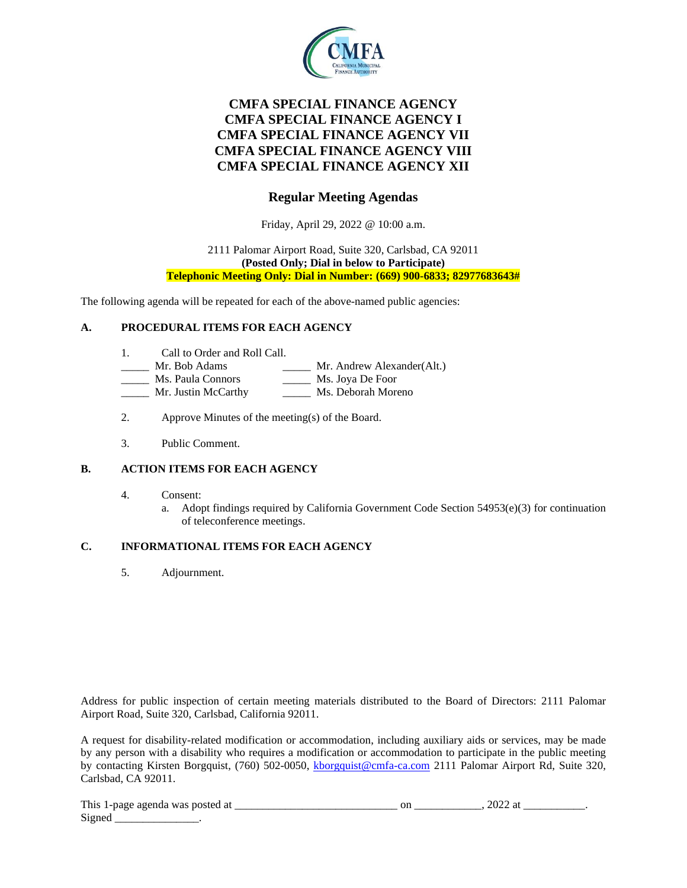

# **CMFA SPECIAL FINANCE AGENCY CMFA SPECIAL FINANCE AGENCY I CMFA SPECIAL FINANCE AGENCY VII CMFA SPECIAL FINANCE AGENCY VIII CMFA SPECIAL FINANCE AGENCY XII**

## **Regular Meeting Agendas**

Friday, April 29, 2022 @ 10:00 a.m.

#### 2111 Palomar Airport Road, Suite 320, Carlsbad, CA 92011 **(Posted Only; Dial in below to Participate) Telephonic Meeting Only: Dial in Number: (669) 900-6833; 82977683643#**

The following agenda will be repeated for each of the above-named public agencies:

### **A. PROCEDURAL ITEMS FOR EACH AGENCY**

- 1. Call to Order and Roll Call.
- Mr. Bob Adams \_\_\_\_\_\_\_ Mr. Andrew Alexander(Alt.)
- Ms. Paula Connors \_\_\_\_\_\_\_ Ms. Joya De Foor
- Mr. Justin McCarthy Ms. Deborah Moreno
- 2. Approve Minutes of the meeting(s) of the Board.
- 3. Public Comment.

### **B. ACTION ITEMS FOR EACH AGENCY**

- 4. Consent:
	- a. Adopt findings required by California Government Code Section  $54953(e)(3)$  for continuation of teleconference meetings.

### **C. INFORMATIONAL ITEMS FOR EACH AGENCY**

5. Adjournment.

Address for public inspection of certain meeting materials distributed to the Board of Directors: 2111 Palomar Airport Road, Suite 320, Carlsbad, California 92011.

A request for disability-related modification or accommodation, including auxiliary aids or services, may be made by any person with a disability who requires a modification or accommodation to participate in the public meeting by contacting Kirsten Borgquist, (760) 502-0050, [kborgquist@cmfa-ca.com](mailto:kborgquist@cmfa-ca.com) 2111 Palomar Airport Rd, Suite 320, Carlsbad, CA 92011.

| This<br>-ai<br>aoenda<br>:te∩<br>was<br>$\sim$ 1-Dage $\sim$<br>. | vı.<br>_____ | ---- |  |
|-------------------------------------------------------------------|--------------|------|--|
| $\sim$<br>Signer                                                  |              |      |  |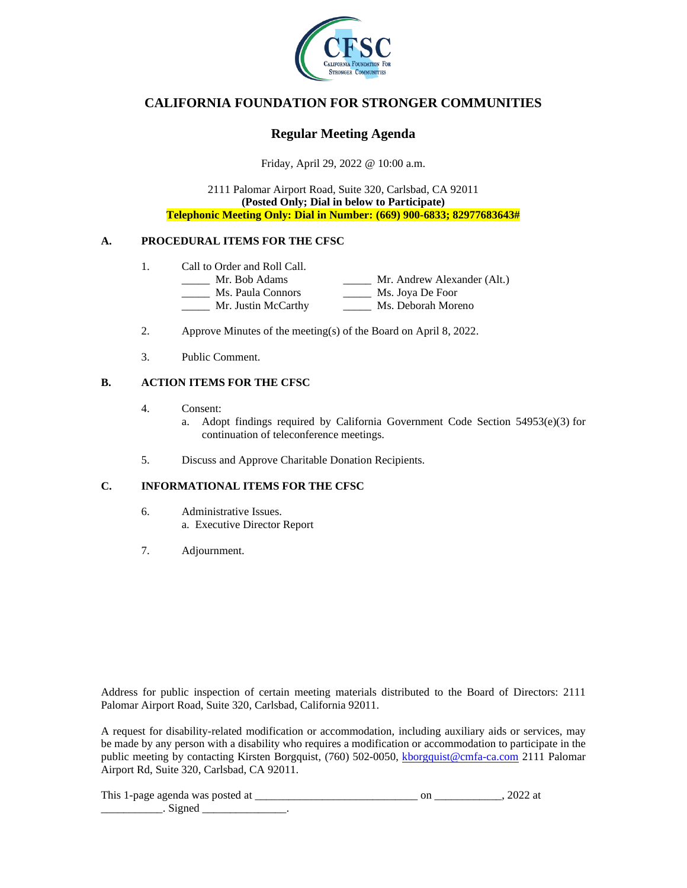

## **CALIFORNIA FOUNDATION FOR STRONGER COMMUNITIES**

## **Regular Meeting Agenda**

Friday, April 29, 2022 @ 10:00 a.m.

2111 Palomar Airport Road, Suite 320, Carlsbad, CA 92011 **(Posted Only; Dial in below to Participate) Telephonic Meeting Only: Dial in Number: (669) 900-6833; 82977683643#**

### **A. PROCEDURAL ITEMS FOR THE CFSC**

- 1. Call to Order and Roll Call.<br>
<u>\_\_\_\_\_\_</u> Mr. Bob Adams
	- \_\_\_\_ Mr. Andrew Alexander (Alt.)<br>\_\_\_ Ms. Joya De Foor \_\_\_\_\_ Ms. Paula Connors \_\_\_\_\_ Mr. Justin McCarthy \_\_\_\_\_ Ms. Deborah Moreno
- 2. Approve Minutes of the meeting(s) of the Board on April 8, 2022.
- 3. Public Comment.

### **B. ACTION ITEMS FOR THE CFSC**

- 4. Consent:
	- a. Adopt findings required by California Government Code Section 54953(e)(3) for continuation of teleconference meetings.
- 5. Discuss and Approve Charitable Donation Recipients.

### **C. INFORMATIONAL ITEMS FOR THE CFSC**

- 6. Administrative Issues. a. Executive Director Report
- 7. Adjournment.

Address for public inspection of certain meeting materials distributed to the Board of Directors: 2111 Palomar Airport Road, Suite 320, Carlsbad, California 92011.

A request for disability-related modification or accommodation, including auxiliary aids or services, may be made by any person with a disability who requires a modification or accommodation to participate in the public meeting by contacting Kirsten Borgquist, (760) 502-0050, [kborgquist@cmfa-ca.com](mailto:kborgquist@cmfa-ca.com) 2111 Palomar Airport Rd, Suite 320, Carlsbad, CA 92011.

| This<br>$\therefore$ 1-nage agenda was posted $\therefore$ |  |  |
|------------------------------------------------------------|--|--|
|                                                            |  |  |